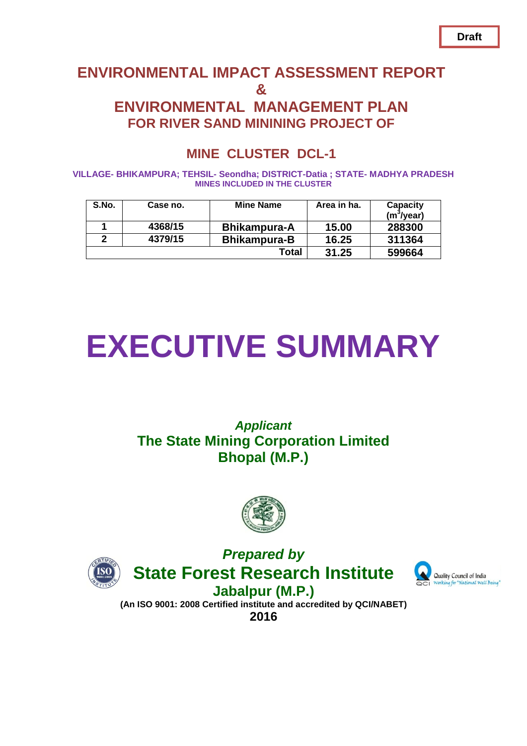# **ENVIRONMENTAL IMPACT ASSESSMENT REPORT & ENVIRONMENTAL MANAGEMENT PLAN FOR RIVER SAND MININING PROJECT OF**

# **MINE CLUSTER DCL-1**

**VILLAGE- BHIKAMPURA; TEHSIL- Seondha; DISTRICT-Datia ; STATE- MADHYA PRADESH MINES INCLUDED IN THE CLUSTER**

| S.No. | Case no. | <b>Mine Name</b>    | Area in ha. | Capacity<br>(m <sup>3</sup> /year) |
|-------|----------|---------------------|-------------|------------------------------------|
|       | 4368/15  | <b>Bhikampura-A</b> | 15.00       | 288300                             |
| 2     | 4379/15  | <b>Bhikampura-B</b> | 16.25       | 311364                             |
|       |          | Total               | 31.25       | 599664                             |

# **EXECUTIVE SUMMARY**

# *Applicant* **The State Mining Corporation Limited Bhopal (M.P.)**



*Prepared by*





**Jabalpur (M.P.) (An ISO 9001: 2008 Certified institute and accredited by QCI/NABET) 2016**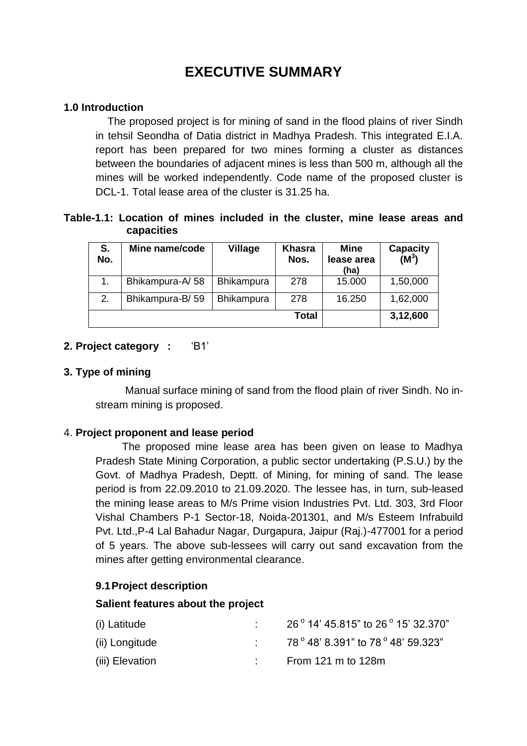# **EXECUTIVE SUMMARY**

#### **1.0 Introduction**

The proposed project is for mining of sand in the flood plains of river Sindh in tehsil Seondha of Datia district in Madhya Pradesh. This integrated E.I.A. report has been prepared for two mines forming a cluster as distances between the boundaries of adjacent mines is less than 500 m, although all the mines will be worked independently. Code name of the proposed cluster is DCL-1. Total lease area of the cluster is 31.25 ha.

#### **Table-1.1: Location of mines included in the cluster, mine lease areas and capacities**

| S.<br>No. | Mine name/code  | Village           | <b>Khasra</b><br>Nos. | <b>Mine</b><br>lease area<br>(ha) | <b>Capacity</b><br>$(M^3)$ |
|-----------|-----------------|-------------------|-----------------------|-----------------------------------|----------------------------|
|           | Bhikampura-A/58 | <b>Bhikampura</b> | 278                   | 15.000                            | 1,50,000                   |
| 2.        | Bhikampura-B/59 | <b>Bhikampura</b> | 278                   | 16.250                            | 1,62,000                   |
|           |                 |                   | <b>Total</b>          |                                   | 3,12,600                   |

#### **2. Project category :** 'B1'

#### **3. Type of mining**

 Manual surface mining of sand from the flood plain of river Sindh. No instream mining is proposed.

#### 4. **Project proponent and lease period**

 The proposed mine lease area has been given on lease to Madhya Pradesh State Mining Corporation, a public sector undertaking (P.S.U.) by the Govt. of Madhya Pradesh, Deptt. of Mining, for mining of sand. The lease period is from 22.09.2010 to 21.09.2020. The lessee has, in turn, sub-leased the mining lease areas to M/s Prime vision Industries Pvt. Ltd. 303, 3rd Floor Vishal Chambers P-1 Sector-18, Noida-201301, and M/s Esteem Infrabuild Pvt. Ltd.,P-4 Lal Bahadur Nagar, Durgapura, Jaipur (Raj.)-477001 for a period of 5 years. The above sub-lessees will carry out sand excavation from the mines after getting environmental clearance.

#### **9.1Project description**

#### **Salient features about the project**

| (i) Latitude    | 26° 14' 45.815" to 26° 15' 32.370"  |
|-----------------|-------------------------------------|
| (ii) Longitude  | 78 ° 48' 8.391" to 78 ° 48' 59.323" |
| (iii) Elevation | From 121 m to 128m                  |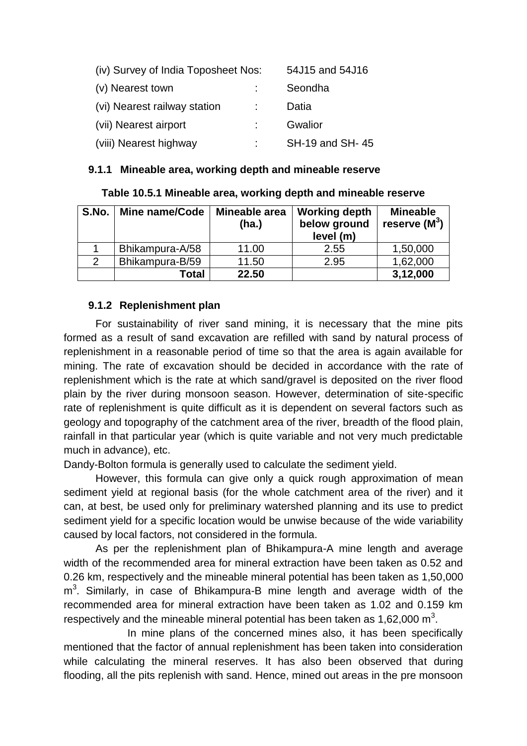| (iv) Survey of India Toposheet Nos: |  | 54J15 and 54J16 |
|-------------------------------------|--|-----------------|
| (v) Nearest town                    |  | Seondha         |
| (vi) Nearest railway station        |  | Datia           |
| (vii) Nearest airport               |  | Gwalior         |
| (viii) Nearest highway              |  | SH-19 and SH-45 |

#### **9.1.1 Mineable area, working depth and mineable reserve**

| Table 10.5.1 Mineable area, working depth and mineable reserve |  |  |
|----------------------------------------------------------------|--|--|
|----------------------------------------------------------------|--|--|

| S.No.         | Mine name/Code  | Mineable area<br>(ha.) | <b>Working depth</b><br>below ground<br>level (m) | <b>Mineable</b><br>reserve $(M^3)$ |
|---------------|-----------------|------------------------|---------------------------------------------------|------------------------------------|
|               | Bhikampura-A/58 | 11.00                  | 2.55                                              | 1,50,000                           |
| $\mathcal{P}$ | Bhikampura-B/59 | 11.50                  | 2.95                                              | 1,62,000                           |
|               | Total           | 22.50                  |                                                   | 3,12,000                           |

#### **9.1.2 Replenishment plan**

For sustainability of river sand mining, it is necessary that the mine pits formed as a result of sand excavation are refilled with sand by natural process of replenishment in a reasonable period of time so that the area is again available for mining. The rate of excavation should be decided in accordance with the rate of replenishment which is the rate at which sand/gravel is deposited on the river flood plain by the river during monsoon season. However, determination of site-specific rate of replenishment is quite difficult as it is dependent on several factors such as geology and topography of the catchment area of the river, breadth of the flood plain, rainfall in that particular year (which is quite variable and not very much predictable much in advance), etc.

Dandy-Bolton formula is generally used to calculate the sediment yield.

However, this formula can give only a quick rough approximation of mean sediment yield at regional basis (for the whole catchment area of the river) and it can, at best, be used only for preliminary watershed planning and its use to predict sediment yield for a specific location would be unwise because of the wide variability caused by local factors, not considered in the formula.

As per the replenishment plan of Bhikampura-A mine length and average width of the recommended area for mineral extraction have been taken as 0.52 and 0.26 km, respectively and the mineable mineral potential has been taken as 1,50,000 m<sup>3</sup>. Similarly, in case of Bhikampura-B mine length and average width of the recommended area for mineral extraction have been taken as 1.02 and 0.159 km respectively and the mineable mineral potential has been taken as 1,62,000  $m^3$ .

In mine plans of the concerned mines also, it has been specifically mentioned that the factor of annual replenishment has been taken into consideration while calculating the mineral reserves. It has also been observed that during flooding, all the pits replenish with sand. Hence, mined out areas in the pre monsoon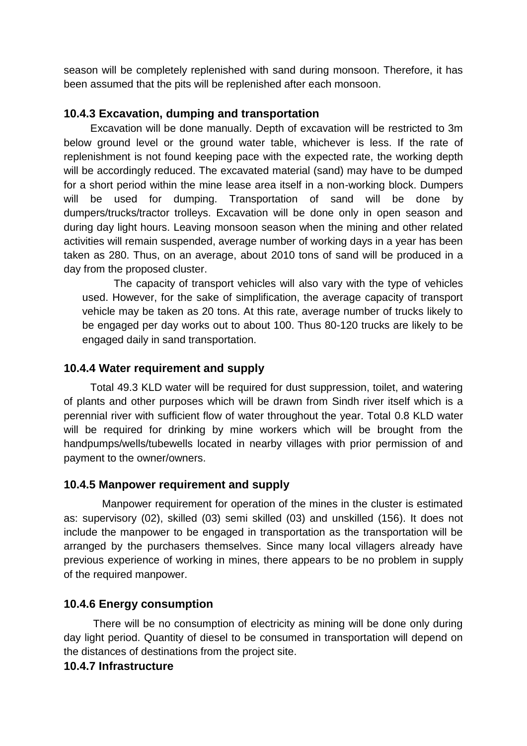season will be completely replenished with sand during monsoon. Therefore, it has been assumed that the pits will be replenished after each monsoon.

#### **10.4.3 Excavation, dumping and transportation**

 Excavation will be done manually. Depth of excavation will be restricted to 3m below ground level or the ground water table, whichever is less. If the rate of replenishment is not found keeping pace with the expected rate, the working depth will be accordingly reduced. The excavated material (sand) may have to be dumped for a short period within the mine lease area itself in a non-working block. Dumpers will be used for dumping. Transportation of sand will be done by dumpers/trucks/tractor trolleys. Excavation will be done only in open season and during day light hours. Leaving monsoon season when the mining and other related activities will remain suspended, average number of working days in a year has been taken as 280. Thus, on an average, about 2010 tons of sand will be produced in a day from the proposed cluster.

The capacity of transport vehicles will also vary with the type of vehicles used. However, for the sake of simplification, the average capacity of transport vehicle may be taken as 20 tons. At this rate, average number of trucks likely to be engaged per day works out to about 100. Thus 80-120 trucks are likely to be engaged daily in sand transportation.

## **10.4.4 Water requirement and supply**

 Total 49.3 KLD water will be required for dust suppression, toilet, and watering of plants and other purposes which will be drawn from Sindh river itself which is a perennial river with sufficient flow of water throughout the year. Total 0.8 KLD water will be required for drinking by mine workers which will be brought from the handpumps/wells/tubewells located in nearby villages with prior permission of and payment to the owner/owners.

#### **10.4.5 Manpower requirement and supply**

 Manpower requirement for operation of the mines in the cluster is estimated as: supervisory (02), skilled (03) semi skilled (03) and unskilled (156). It does not include the manpower to be engaged in transportation as the transportation will be arranged by the purchasers themselves. Since many local villagers already have previous experience of working in mines, there appears to be no problem in supply of the required manpower.

## **10.4.6 Energy consumption**

 There will be no consumption of electricity as mining will be done only during day light period. Quantity of diesel to be consumed in transportation will depend on the distances of destinations from the project site.

#### **10.4.7 Infrastructure**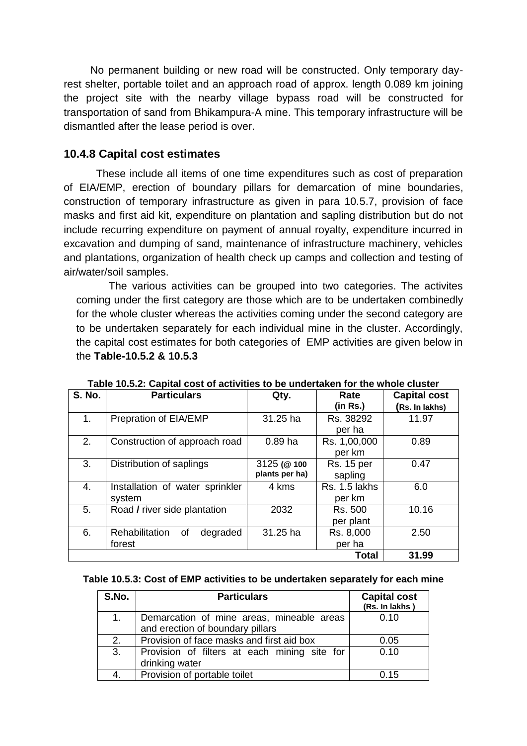No permanent building or new road will be constructed. Only temporary dayrest shelter, portable toilet and an approach road of approx. length 0.089 km joining the project site with the nearby village bypass road will be constructed for transportation of sand from Bhikampura-A mine. This temporary infrastructure will be dismantled after the lease period is over.

#### **10.4.8 Capital cost estimates**

 These include all items of one time expenditures such as cost of preparation of EIA/EMP, erection of boundary pillars for demarcation of mine boundaries, construction of temporary infrastructure as given in para 10.5.7, provision of face masks and first aid kit, expenditure on plantation and sapling distribution but do not include recurring expenditure on payment of annual royalty, expenditure incurred in excavation and dumping of sand, maintenance of infrastructure machinery, vehicles and plantations, organization of health check up camps and collection and testing of air/water/soil samples.

 The various activities can be grouped into two categories. The activites coming under the first category are those which are to be undertaken combinedly for the whole cluster whereas the activities coming under the second category are to be undertaken separately for each individual mine in the cluster. Accordingly, the capital cost estimates for both categories of EMP activities are given below in the **Table-10.5.2 & 10.5.3**

| <b>S. No.</b> | <b>Particulars</b>                         | Qty.                         | Rate<br>(in Rs.)             | <b>Capital cost</b><br>(Rs. In lakhs) |
|---------------|--------------------------------------------|------------------------------|------------------------------|---------------------------------------|
| 1.            | Prepration of EIA/EMP                      | 31.25 ha                     | Rs. 38292<br>per ha          | 11.97                                 |
| 2.            | Construction of approach road              | $0.89$ ha                    | Rs. 1,00,000<br>per km       | 0.89                                  |
| 3.            | Distribution of saplings                   | 3125 (@100<br>plants per ha) | <b>Rs. 15 per</b><br>sapling | 0.47                                  |
| 4.            | Installation of water sprinkler<br>system  | 4 kms                        | Rs. 1.5 lakhs<br>per km      | 6.0                                   |
| 5.            | Road / river side plantation               | 2032                         | Rs. 500<br>per plant         | 10.16                                 |
| 6.            | Rehabilitation<br>0f<br>degraded<br>forest | 31.25 ha                     | Rs. 8,000<br>per ha          | 2.50                                  |
|               |                                            |                              | <b>Total</b>                 | 31.99                                 |

**Table 10.5.2: Capital cost of activities to be undertaken for the whole cluster**

#### **Table 10.5.3: Cost of EMP activities to be undertaken separately for each mine**

| S.No. | <b>Particulars</b>                           | <b>Capital cost</b><br>(Rs. In lakhs) |
|-------|----------------------------------------------|---------------------------------------|
| 1.    | Demarcation of mine areas, mineable areas    | 0.10                                  |
|       | and erection of boundary pillars             |                                       |
| 2.    | Provision of face masks and first aid box    | 0.05                                  |
| 3.    | Provision of filters at each mining site for | 0.10                                  |
|       | drinking water                               |                                       |
| 4.    | Provision of portable toilet                 | 0.15                                  |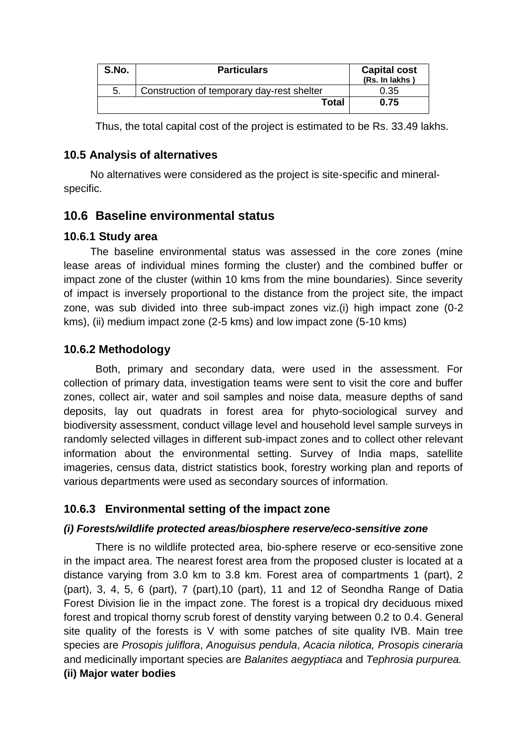| S.No. | <b>Particulars</b>                         | <b>Capital cost</b><br>(Rs. In lakhs) |
|-------|--------------------------------------------|---------------------------------------|
| 5.    | Construction of temporary day-rest shelter | 0.35                                  |
|       | Total                                      | 0.75                                  |

Thus, the total capital cost of the project is estimated to be Rs. 33.49 lakhs.

#### **10.5 Analysis of alternatives**

 No alternatives were considered as the project is site-specific and mineralspecific.

## **10.6 Baseline environmental status**

## **10.6.1 Study area**

 The baseline environmental status was assessed in the core zones (mine lease areas of individual mines forming the cluster) and the combined buffer or impact zone of the cluster (within 10 kms from the mine boundaries). Since severity of impact is inversely proportional to the distance from the project site, the impact zone, was sub divided into three sub-impact zones viz.(i) high impact zone (0-2 kms), (ii) medium impact zone (2-5 kms) and low impact zone (5-10 kms)

## **10.6.2 Methodology**

 Both, primary and secondary data, were used in the assessment. For collection of primary data, investigation teams were sent to visit the core and buffer zones, collect air, water and soil samples and noise data, measure depths of sand deposits, lay out quadrats in forest area for phyto-sociological survey and biodiversity assessment, conduct village level and household level sample surveys in randomly selected villages in different sub-impact zones and to collect other relevant information about the environmental setting. Survey of India maps, satellite imageries, census data, district statistics book, forestry working plan and reports of various departments were used as secondary sources of information.

## **10.6.3 Environmental setting of the impact zone**

#### *(i) Forests/wildlife protected areas/biosphere reserve/eco-sensitive zone*

There is no wildlife protected area, bio-sphere reserve or eco-sensitive zone in the impact area. The nearest forest area from the proposed cluster is located at a distance varying from 3.0 km to 3.8 km. Forest area of compartments 1 (part), 2 (part), 3, 4, 5, 6 (part), 7 (part),10 (part), 11 and 12 of Seondha Range of Datia Forest Division lie in the impact zone. The forest is a tropical dry deciduous mixed forest and tropical thorny scrub forest of denstity varying between 0.2 to 0.4. General site quality of the forests is V with some patches of site quality IVB. Main tree species are *Prosopis juliflora*, *Anoguisus pendula*, *Acacia nilotica, Prosopis cineraria*  and medicinally important species are *Balanites aegyptiaca* and *Tephrosia purpurea.* **(ii) Major water bodies**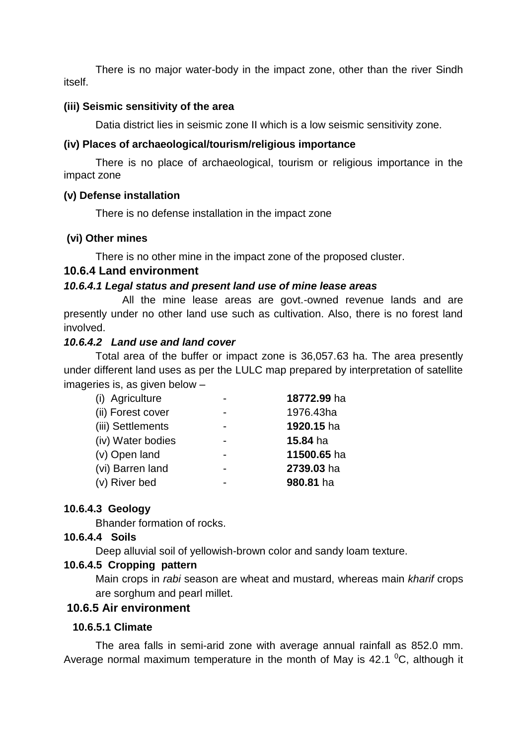There is no major water-body in the impact zone, other than the river Sindh itself.

#### **(iii) Seismic sensitivity of the area**

Datia district lies in seismic zone II which is a low seismic sensitivity zone.

#### **(iv) Places of archaeological/tourism/religious importance**

There is no place of archaeological, tourism or religious importance in the impact zone

#### **(v) Defense installation**

There is no defense installation in the impact zone

#### **(vi) Other mines**

There is no other mine in the impact zone of the proposed cluster.

#### **10.6.4 Land environment**

#### *10.6.4.1 Legal status and present land use of mine lease areas*

 All the mine lease areas are govt.-owned revenue lands and are presently under no other land use such as cultivation. Also, there is no forest land involved.

#### *10.6.4.2 Land use and land cover*

Total area of the buffer or impact zone is 36,057.63 ha. The area presently under different land uses as per the LULC map prepared by interpretation of satellite imageries is, as given below –

| (i) Agriculture   | 18772.99 ha |
|-------------------|-------------|
| (ii) Forest cover | 1976.43ha   |
| (iii) Settlements | 1920.15 ha  |
| (iv) Water bodies | 15.84 ha    |
| (v) Open land     | 11500.65 ha |
| (vi) Barren land  | 2739.03 ha  |
| (v) River bed     | 980.81 ha   |

#### **10.6.4.3 Geology**

Bhander formation of rocks.

#### **10.6.4.4 Soils**

Deep alluvial soil of yellowish-brown color and sandy loam texture.

#### **10.6.4.5 Cropping pattern**

Main crops in *rabi* season are wheat and mustard, whereas main *kharif* crops are sorghum and pearl millet.

#### **10.6.5 Air environment**

#### **10.6.5.1 Climate**

The area falls in semi-arid zone with average annual rainfall as 852.0 mm. Average normal maximum temperature in the month of May is  $42.1 \text{ }^{\circ}C$ , although it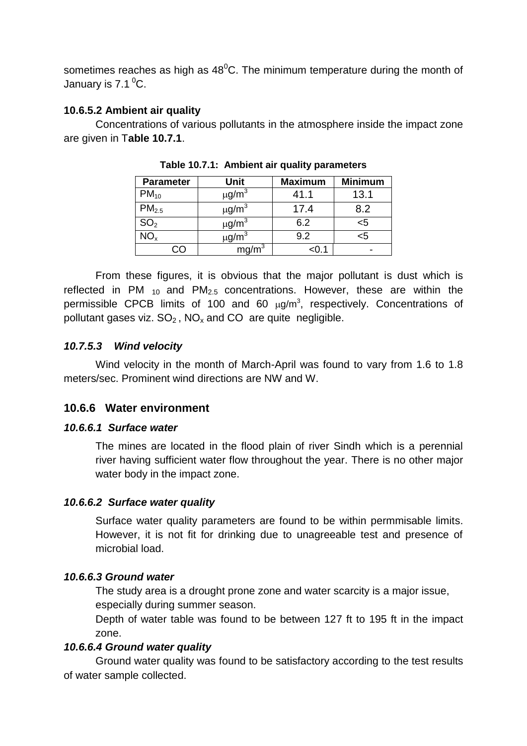sometimes reaches as high as  $48^{\circ}$ C. The minimum temperature during the month of January is  $7.1<sup>0</sup>C$ .

#### **10.6.5.2 Ambient air quality**

Concentrations of various pollutants in the atmosphere inside the impact zone are given in T**able 10.7.1**.

| <b>Parameter</b>  | Unit                   | <b>Maximum</b> | <b>Minimum</b>  |
|-------------------|------------------------|----------------|-----------------|
| $PM_{10}$         | $\mu$ g/m <sup>3</sup> | 41.1           | 13.1            |
| PM <sub>2.5</sub> | $\mu$ g/m <sup>3</sup> | 17.4           | 8.2             |
| SO <sub>2</sub>   | $\mu$ g/m <sup>3</sup> | 6.2            | $5$             |
| VO <sub>x</sub>   | $\mu$ g/m <sup>3</sup> | 9.2            | <b< td=""></b<> |
|                   |                        |                |                 |

**Table 10.7.1: Ambient air quality parameters**

From these figures, it is obvious that the major pollutant is dust which is reflected in PM  $_{10}$  and PM<sub>2.5</sub> concentrations. However, these are within the permissible CPCB limits of 100 and 60  $\mu$ g/m<sup>3</sup>, respectively. Concentrations of pollutant gases viz.  $SO_2$ ,  $NO_x$  and  $CO$  are quite negligible.

#### *10.7.5.3 Wind velocity*

Wind velocity in the month of March-April was found to vary from 1.6 to 1.8 meters/sec. Prominent wind directions are NW and W.

## **10.6.6 Water environment**

#### *10.6.6.1 Surface water*

The mines are located in the flood plain of river Sindh which is a perennial river having sufficient water flow throughout the year. There is no other major water body in the impact zone.

#### *10.6.6.2 Surface water quality*

Surface water quality parameters are found to be within permmisable limits. However, it is not fit for drinking due to unagreeable test and presence of microbial load.

#### *10.6.6.3 Ground water*

The study area is a drought prone zone and water scarcity is a major issue, especially during summer season.

Depth of water table was found to be between 127 ft to 195 ft in the impact zone.

#### *10.6.6.4 Ground water quality*

Ground water quality was found to be satisfactory according to the test results of water sample collected.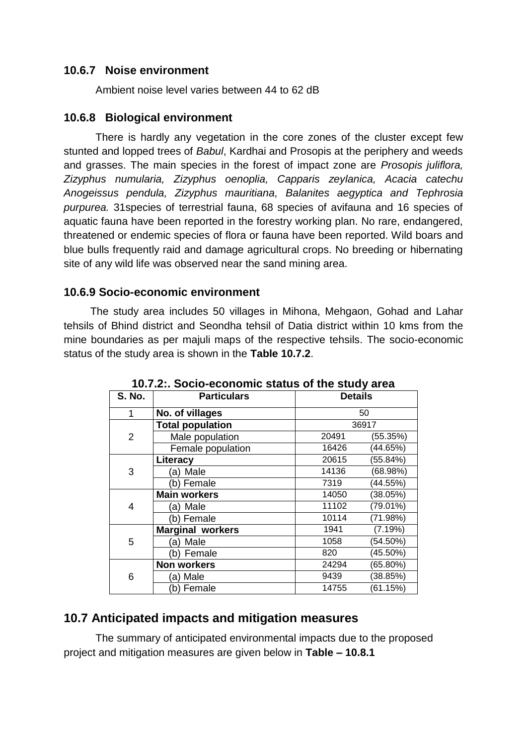## **10.6.7 Noise environment**

Ambient noise level varies between 44 to 62 dB

#### **10.6.8 Biological environment**

There is hardly any vegetation in the core zones of the cluster except few stunted and lopped trees of *Babul*, Kardhai and Prosopis at the periphery and weeds and grasses. The main species in the forest of impact zone are *Prosopis juliflora, Zizyphus numularia, Zizyphus oenoplia, Capparis zeylanica, Acacia catechu Anogeissus pendula, Zizyphus mauritiana, Balanites aegyptica and Tephrosia purpurea.* 31species of terrestrial fauna, 68 species of avifauna and 16 species of aquatic fauna have been reported in the forestry working plan. No rare, endangered, threatened or endemic species of flora or fauna have been reported. Wild boars and blue bulls frequently raid and damage agricultural crops. No breeding or hibernating site of any wild life was observed near the sand mining area.

#### **10.6.9 Socio-economic environment**

 The study area includes 50 villages in Mihona, Mehgaon, Gohad and Lahar tehsils of Bhind district and Seondha tehsil of Datia district within 10 kms from the mine boundaries as per majuli maps of the respective tehsils. The socio-economic status of the study area is shown in the **Table 10.7.2**.

| <b>S. No.</b>  | <b>Particulars</b>      | <b>Details</b>      |
|----------------|-------------------------|---------------------|
| 1              | No. of villages         | 50                  |
|                | <b>Total population</b> | 36917               |
| $\overline{2}$ | Male population         | 20491<br>(55.35%)   |
|                | Female population       | 16426<br>(44.65%)   |
|                | Literacy                | 20615<br>(55.84%)   |
| 3              | Male<br>a)              | (68.98%)<br>14136   |
|                | (b) Female              | (44.55%)<br>7319    |
|                | <b>Main workers</b>     | (38.05%)<br>14050   |
| 4              | Male<br>a)              | (79.01%)<br>11102   |
|                | (b) Female              | 10114<br>(71.98%)   |
|                | <b>Marginal workers</b> | 1941<br>(7.19%)     |
| 5              | Male<br>a)              | 1058<br>$(54.50\%)$ |
|                | (b) Female              | $(45.50\%)$<br>820  |
|                | <b>Non workers</b>      | 24294<br>(65.80%)   |
| 6              | (a) Male                | (38.85%)<br>9439    |
|                | (b) Female              | (61.15%)<br>14755   |

**10.7.2:. Socio-economic status of the study area**

## **10.7 Anticipated impacts and mitigation measures**

The summary of anticipated environmental impacts due to the proposed project and mitigation measures are given below in **Table – 10.8.1**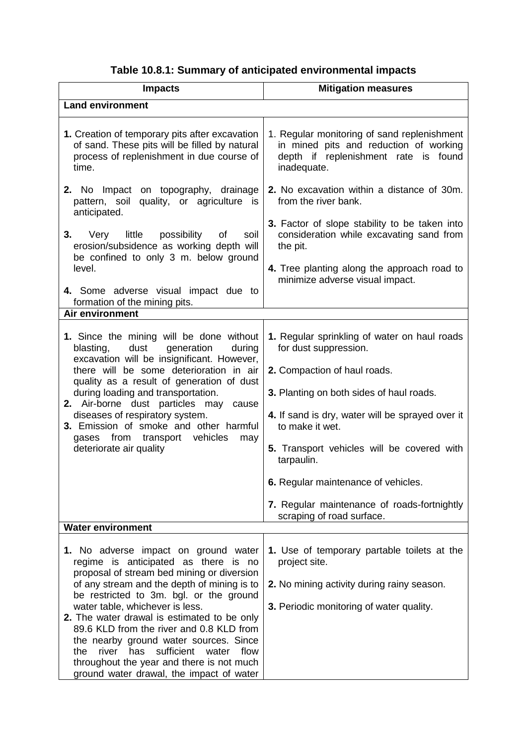| <b>Impacts</b>                                                                                                                                                                                                                                                                                                                                                                                                                                                                                                                              | <b>Mitigation measures</b>                                                                                                                                                                                               |  |  |  |
|---------------------------------------------------------------------------------------------------------------------------------------------------------------------------------------------------------------------------------------------------------------------------------------------------------------------------------------------------------------------------------------------------------------------------------------------------------------------------------------------------------------------------------------------|--------------------------------------------------------------------------------------------------------------------------------------------------------------------------------------------------------------------------|--|--|--|
| <b>Land environment</b>                                                                                                                                                                                                                                                                                                                                                                                                                                                                                                                     |                                                                                                                                                                                                                          |  |  |  |
| 1. Creation of temporary pits after excavation<br>of sand. These pits will be filled by natural<br>process of replenishment in due course of<br>time.                                                                                                                                                                                                                                                                                                                                                                                       | 1. Regular monitoring of sand replenishment<br>in mined pits and reduction of working<br>depth if replenishment rate is found<br>inadequate.                                                                             |  |  |  |
| 2. No Impact on topography, drainage<br>pattern, soil quality, or agriculture is<br>anticipated.                                                                                                                                                                                                                                                                                                                                                                                                                                            | 2. No excavation within a distance of 30m.<br>from the river bank.                                                                                                                                                       |  |  |  |
| 3.<br>Very little possibility<br>of<br>soil<br>erosion/subsidence as working depth will<br>be confined to only 3 m. below ground                                                                                                                                                                                                                                                                                                                                                                                                            | 3. Factor of slope stability to be taken into<br>consideration while excavating sand from<br>the pit.                                                                                                                    |  |  |  |
| level.                                                                                                                                                                                                                                                                                                                                                                                                                                                                                                                                      | 4. Tree planting along the approach road to<br>minimize adverse visual impact.                                                                                                                                           |  |  |  |
| 4. Some adverse visual impact due to<br>formation of the mining pits.                                                                                                                                                                                                                                                                                                                                                                                                                                                                       |                                                                                                                                                                                                                          |  |  |  |
| <b>Air environment</b>                                                                                                                                                                                                                                                                                                                                                                                                                                                                                                                      |                                                                                                                                                                                                                          |  |  |  |
| 1. Since the mining will be done without<br>dust<br>generation<br>blasting,<br>during<br>excavation will be insignificant. However,<br>there will be some deterioration in air<br>quality as a result of generation of dust<br>during loading and transportation.<br>2. Air-borne dust particles may<br>cause<br>diseases of respiratory system.<br>3. Emission of smoke and other harmful                                                                                                                                                  | 1. Regular sprinkling of water on haul roads<br>for dust suppression.<br>2. Compaction of haul roads.<br>3. Planting on both sides of haul roads.<br>4. If sand is dry, water will be sprayed over it<br>to make it wet. |  |  |  |
| gases from transport vehicles<br>may<br>deteriorate air quality                                                                                                                                                                                                                                                                                                                                                                                                                                                                             | 5. Transport vehicles will be covered with<br>tarpaulin.                                                                                                                                                                 |  |  |  |
|                                                                                                                                                                                                                                                                                                                                                                                                                                                                                                                                             | 6. Regular maintenance of vehicles.                                                                                                                                                                                      |  |  |  |
|                                                                                                                                                                                                                                                                                                                                                                                                                                                                                                                                             | 7. Regular maintenance of roads-fortnightly<br>scraping of road surface.                                                                                                                                                 |  |  |  |
| <b>Water environment</b>                                                                                                                                                                                                                                                                                                                                                                                                                                                                                                                    |                                                                                                                                                                                                                          |  |  |  |
| 1. No adverse impact on ground water<br>regime is anticipated as there is no<br>proposal of stream bed mining or diversion<br>of any stream and the depth of mining is to<br>be restricted to 3m. bgl. or the ground<br>water table, whichever is less.<br>2. The water drawal is estimated to be only<br>89.6 KLD from the river and 0.8 KLD from<br>the nearby ground water sources. Since<br>river<br>has<br>the<br>sufficient<br>flow<br>water<br>throughout the year and there is not much<br>ground water drawal, the impact of water | 1. Use of temporary partable toilets at the<br>project site.<br>2. No mining activity during rainy season.<br>3. Periodic monitoring of water quality.                                                                   |  |  |  |

# **Table 10.8.1: Summary of anticipated environmental impacts**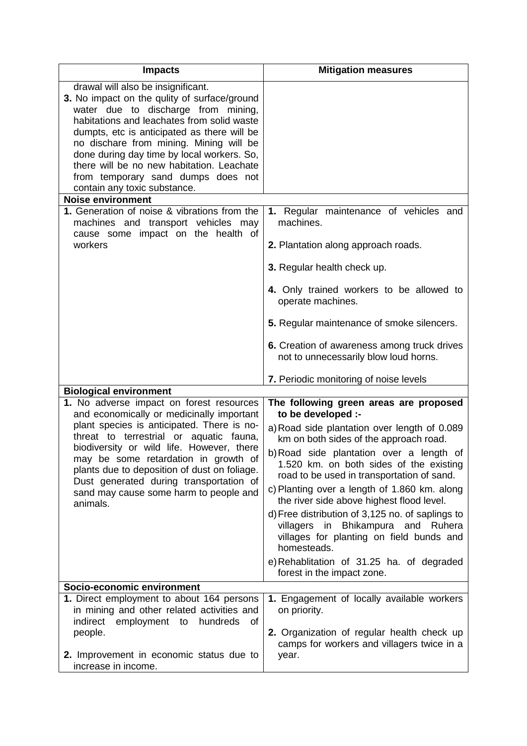| <b>Impacts</b>                                                                                                                                                                                                                                                                                                                                                                                                                     | <b>Mitigation measures</b>                                                                                                                                                                                                                                                                                                                                                                                                                                                                                                                                                                 |  |  |
|------------------------------------------------------------------------------------------------------------------------------------------------------------------------------------------------------------------------------------------------------------------------------------------------------------------------------------------------------------------------------------------------------------------------------------|--------------------------------------------------------------------------------------------------------------------------------------------------------------------------------------------------------------------------------------------------------------------------------------------------------------------------------------------------------------------------------------------------------------------------------------------------------------------------------------------------------------------------------------------------------------------------------------------|--|--|
| drawal will also be insignificant.<br>3. No impact on the qulity of surface/ground<br>water due to discharge from mining,<br>habitations and leachates from solid waste<br>dumpts, etc is anticipated as there will be<br>no dischare from mining. Mining will be<br>done during day time by local workers. So,<br>there will be no new habitation. Leachate<br>from temporary sand dumps does not<br>contain any toxic substance. |                                                                                                                                                                                                                                                                                                                                                                                                                                                                                                                                                                                            |  |  |
| <b>Noise environment</b>                                                                                                                                                                                                                                                                                                                                                                                                           |                                                                                                                                                                                                                                                                                                                                                                                                                                                                                                                                                                                            |  |  |
| 1. Generation of noise & vibrations from the<br>machines and transport vehicles may<br>cause some impact on the health of                                                                                                                                                                                                                                                                                                          | 1. Regular maintenance of vehicles and<br>machines.<br>2. Plantation along approach roads.                                                                                                                                                                                                                                                                                                                                                                                                                                                                                                 |  |  |
| workers                                                                                                                                                                                                                                                                                                                                                                                                                            |                                                                                                                                                                                                                                                                                                                                                                                                                                                                                                                                                                                            |  |  |
|                                                                                                                                                                                                                                                                                                                                                                                                                                    | 3. Regular health check up.                                                                                                                                                                                                                                                                                                                                                                                                                                                                                                                                                                |  |  |
|                                                                                                                                                                                                                                                                                                                                                                                                                                    | 4. Only trained workers to be allowed to<br>operate machines.                                                                                                                                                                                                                                                                                                                                                                                                                                                                                                                              |  |  |
|                                                                                                                                                                                                                                                                                                                                                                                                                                    | 5. Regular maintenance of smoke silencers.                                                                                                                                                                                                                                                                                                                                                                                                                                                                                                                                                 |  |  |
|                                                                                                                                                                                                                                                                                                                                                                                                                                    | 6. Creation of awareness among truck drives<br>not to unnecessarily blow loud horns.                                                                                                                                                                                                                                                                                                                                                                                                                                                                                                       |  |  |
|                                                                                                                                                                                                                                                                                                                                                                                                                                    | 7. Periodic monitoring of noise levels                                                                                                                                                                                                                                                                                                                                                                                                                                                                                                                                                     |  |  |
| <b>Biological environment</b>                                                                                                                                                                                                                                                                                                                                                                                                      |                                                                                                                                                                                                                                                                                                                                                                                                                                                                                                                                                                                            |  |  |
| 1. No adverse impact on forest resources<br>and economically or medicinally important<br>plant species is anticipated. There is no-<br>threat to terrestrial or aquatic fauna,<br>biodiversity or wild life. However, there<br>may be some retardation in growth of<br>plants due to deposition of dust on foliage.<br>Dust generated during transportation of<br>sand may cause some harm to people and<br>animals.               | The following green areas are proposed<br>to be developed :-<br>a) Road side plantation over length of 0.089<br>km on both sides of the approach road.<br>b) Road side plantation over a length of<br>1.520 km. on both sides of the existing<br>road to be used in transportation of sand.<br>c) Planting over a length of 1.860 km. along<br>the river side above highest flood level.<br>d) Free distribution of 3,125 no. of saplings to<br>villagers in Bhikampura and Ruhera<br>villages for planting on field bunds and<br>homesteads.<br>e) Rehablitation of 31.25 ha. of degraded |  |  |
|                                                                                                                                                                                                                                                                                                                                                                                                                                    | forest in the impact zone.                                                                                                                                                                                                                                                                                                                                                                                                                                                                                                                                                                 |  |  |
| Socio-economic environment<br>1. Direct employment to about 164 persons<br>in mining and other related activities and<br>employment to<br>hundreds<br>indirect<br>of<br>people.<br>2. Improvement in economic status due to                                                                                                                                                                                                        | 1. Engagement of locally available workers<br>on priority.<br>2. Organization of regular health check up<br>camps for workers and villagers twice in a<br>year.                                                                                                                                                                                                                                                                                                                                                                                                                            |  |  |
| increase in income.                                                                                                                                                                                                                                                                                                                                                                                                                |                                                                                                                                                                                                                                                                                                                                                                                                                                                                                                                                                                                            |  |  |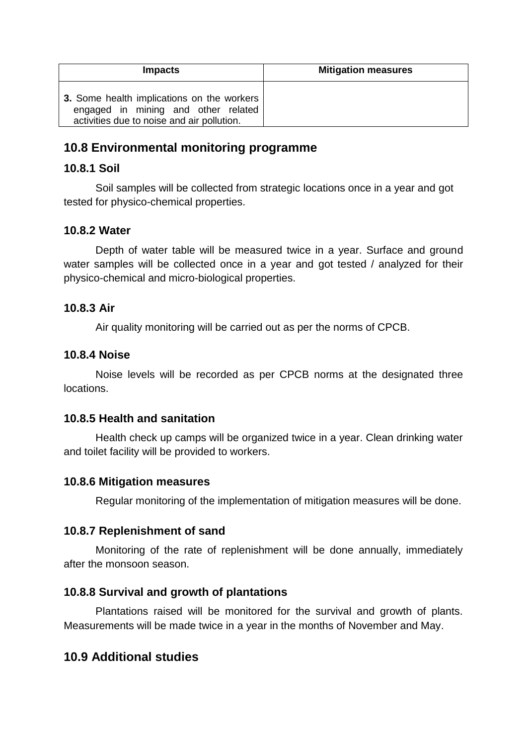| <b>Impacts</b>                                                                                                                         | <b>Mitigation measures</b> |  |  |
|----------------------------------------------------------------------------------------------------------------------------------------|----------------------------|--|--|
| <b>3.</b> Some health implications on the workers<br>engaged in mining and other related<br>activities due to noise and air pollution. |                            |  |  |

## **10.8 Environmental monitoring programme**

#### **10.8.1 Soil**

Soil samples will be collected from strategic locations once in a year and got tested for physico-chemical properties.

## **10.8.2 Water**

Depth of water table will be measured twice in a year. Surface and ground water samples will be collected once in a year and got tested / analyzed for their physico-chemical and micro-biological properties.

## **10.8.3 Air**

Air quality monitoring will be carried out as per the norms of CPCB.

## **10.8.4 Noise**

Noise levels will be recorded as per CPCB norms at the designated three locations.

## **10.8.5 Health and sanitation**

Health check up camps will be organized twice in a year. Clean drinking water and toilet facility will be provided to workers.

#### **10.8.6 Mitigation measures**

Regular monitoring of the implementation of mitigation measures will be done.

## **10.8.7 Replenishment of sand**

Monitoring of the rate of replenishment will be done annually, immediately after the monsoon season.

## **10.8.8 Survival and growth of plantations**

Plantations raised will be monitored for the survival and growth of plants. Measurements will be made twice in a year in the months of November and May.

## **10.9 Additional studies**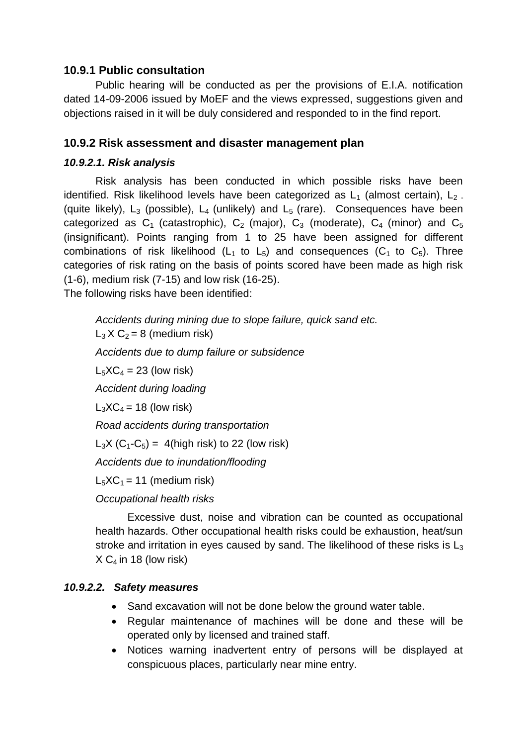#### **10.9.1 Public consultation**

Public hearing will be conducted as per the provisions of E.I.A. notification dated 14-09-2006 issued by MoEF and the views expressed, suggestions given and objections raised in it will be duly considered and responded to in the find report.

## **10.9.2 Risk assessment and disaster management plan**

#### *10.9.2.1. Risk analysis*

Risk analysis has been conducted in which possible risks have been identified. Risk likelihood levels have been categorized as  $L_1$  (almost certain),  $L_2$ . (quite likely),  $L_3$  (possible),  $L_4$  (unlikely) and  $L_5$  (rare). Consequences have been categorized as  $C_1$  (catastrophic),  $C_2$  (major),  $C_3$  (moderate),  $C_4$  (minor) and  $C_5$ (insignificant). Points ranging from 1 to 25 have been assigned for different combinations of risk likelihood ( $L_1$  to  $L_5$ ) and consequences ( $C_1$  to  $C_5$ ). Three categories of risk rating on the basis of points scored have been made as high risk (1-6), medium risk (7-15) and low risk (16-25).

The following risks have been identified:

*Accidents during mining due to slope failure, quick sand etc.*   $L_3$  X  $C_2$  = 8 (medium risk) *Accidents due to dump failure or subsidence*   $L_5XC_4 = 23$  (low risk) *Accident during loading*   $L_3XC_4 = 18$  (low risk) *Road accidents during transportation*   $L_3X$  (C<sub>1</sub>-C<sub>5</sub>) = 4(high risk) to 22 (low risk) *Accidents due to inundation/flooding*   $L_5XC_1 = 11$  (medium risk) *Occupational health risks*

Excessive dust, noise and vibration can be counted as occupational health hazards. Other occupational health risks could be exhaustion, heat/sun stroke and irritation in eyes caused by sand. The likelihood of these risks is  $L_3$  $X C<sub>4</sub>$  in 18 (low risk)

#### *10.9.2.2. Safety measures*

- Sand excavation will not be done below the ground water table.
- Regular maintenance of machines will be done and these will be operated only by licensed and trained staff.
- Notices warning inadvertent entry of persons will be displayed at conspicuous places, particularly near mine entry.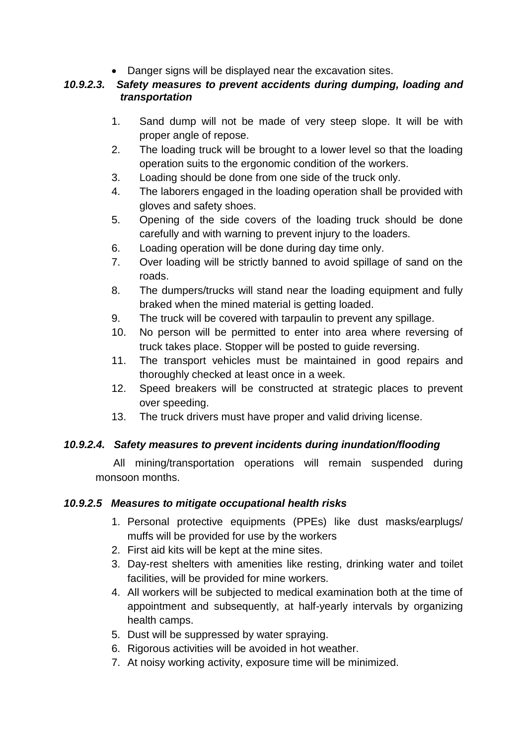Danger signs will be displayed near the excavation sites.

#### *10.9.2.3. Safety measures to prevent accidents during dumping, loading and transportation*

- 1. Sand dump will not be made of very steep slope. It will be with proper angle of repose.
- 2. The loading truck will be brought to a lower level so that the loading operation suits to the ergonomic condition of the workers.
- 3. Loading should be done from one side of the truck only.
- 4. The laborers engaged in the loading operation shall be provided with gloves and safety shoes.
- 5. Opening of the side covers of the loading truck should be done carefully and with warning to prevent injury to the loaders.
- 6. Loading operation will be done during day time only.
- 7. Over loading will be strictly banned to avoid spillage of sand on the roads.
- 8. The dumpers/trucks will stand near the loading equipment and fully braked when the mined material is getting loaded.
- 9. The truck will be covered with tarpaulin to prevent any spillage.
- 10. No person will be permitted to enter into area where reversing of truck takes place. Stopper will be posted to guide reversing.
- 11. The transport vehicles must be maintained in good repairs and thoroughly checked at least once in a week.
- 12. Speed breakers will be constructed at strategic places to prevent over speeding.
- 13. The truck drivers must have proper and valid driving license.

## *10.9.2.4. Safety measures to prevent incidents during inundation/flooding*

 All mining/transportation operations will remain suspended during monsoon months.

#### *10.9.2.5 Measures to mitigate occupational health risks*

- 1. Personal protective equipments (PPEs) like dust masks/earplugs/ muffs will be provided for use by the workers
- 2. First aid kits will be kept at the mine sites.
- 3. Day-rest shelters with amenities like resting, drinking water and toilet facilities, will be provided for mine workers.
- 4. All workers will be subjected to medical examination both at the time of appointment and subsequently, at half-yearly intervals by organizing health camps.
- 5. Dust will be suppressed by water spraying.
- 6. Rigorous activities will be avoided in hot weather.
- 7. At noisy working activity, exposure time will be minimized.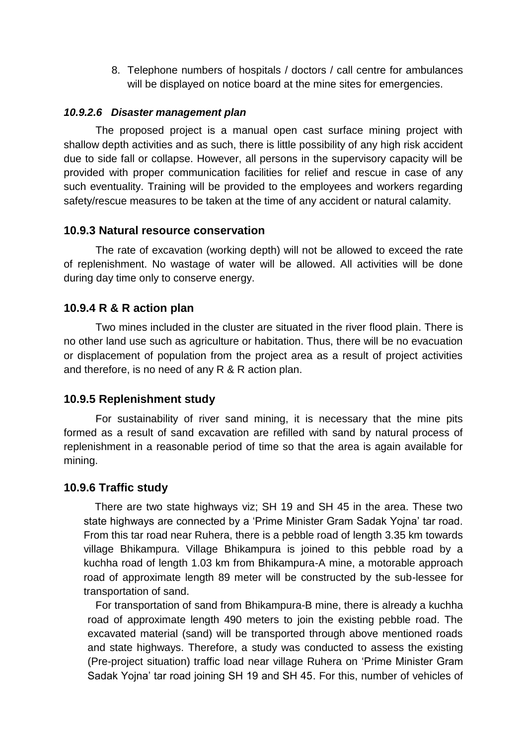8. Telephone numbers of hospitals / doctors / call centre for ambulances will be displayed on notice board at the mine sites for emergencies.

#### *10.9.2.6 Disaster management plan*

The proposed project is a manual open cast surface mining project with shallow depth activities and as such, there is little possibility of any high risk accident due to side fall or collapse. However, all persons in the supervisory capacity will be provided with proper communication facilities for relief and rescue in case of any such eventuality. Training will be provided to the employees and workers regarding safety/rescue measures to be taken at the time of any accident or natural calamity.

#### **10.9.3 Natural resource conservation**

The rate of excavation (working depth) will not be allowed to exceed the rate of replenishment. No wastage of water will be allowed. All activities will be done during day time only to conserve energy.

#### **10.9.4 R & R action plan**

Two mines included in the cluster are situated in the river flood plain. There is no other land use such as agriculture or habitation. Thus, there will be no evacuation or displacement of population from the project area as a result of project activities and therefore, is no need of any R & R action plan.

#### **10.9.5 Replenishment study**

For sustainability of river sand mining, it is necessary that the mine pits formed as a result of sand excavation are refilled with sand by natural process of replenishment in a reasonable period of time so that the area is again available for mining.

#### **10.9.6 Traffic study**

There are two state highways viz; SH 19 and SH 45 in the area. These two state highways are connected by a 'Prime Minister Gram Sadak Yojna' tar road. From this tar road near Ruhera, there is a pebble road of length 3.35 km towards village Bhikampura. Village Bhikampura is joined to this pebble road by a kuchha road of length 1.03 km from Bhikampura-A mine, a motorable approach road of approximate length 89 meter will be constructed by the sub-lessee for transportation of sand.

For transportation of sand from Bhikampura-B mine, there is already a kuchha road of approximate length 490 meters to join the existing pebble road. The excavated material (sand) will be transported through above mentioned roads and state highways. Therefore, a study was conducted to assess the existing (Pre-project situation) traffic load near village Ruhera on 'Prime Minister Gram Sadak Yojna' tar road joining SH 19 and SH 45. For this, number of vehicles of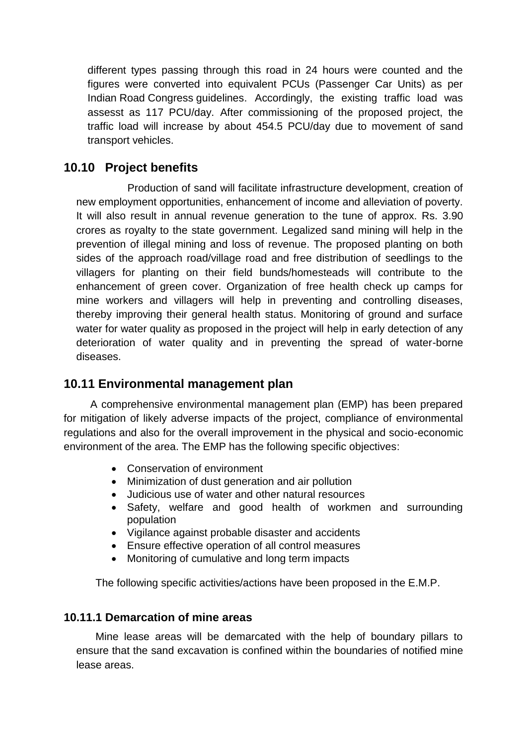different types passing through this road in 24 hours were counted and the figures were converted into equivalent PCUs (Passenger Car Units) as per Indian Road Congress guidelines. Accordingly, the existing traffic load was assesst as 117 PCU/day. After commissioning of the proposed project, the traffic load will increase by about 454.5 PCU/day due to movement of sand transport vehicles.

## **10.10 Project benefits**

Production of sand will facilitate infrastructure development, creation of new employment opportunities, enhancement of income and alleviation of poverty. It will also result in annual revenue generation to the tune of approx. Rs. 3.90 crores as royalty to the state government. Legalized sand mining will help in the prevention of illegal mining and loss of revenue. The proposed planting on both sides of the approach road/village road and free distribution of seedlings to the villagers for planting on their field bunds/homesteads will contribute to the enhancement of green cover. Organization of free health check up camps for mine workers and villagers will help in preventing and controlling diseases, thereby improving their general health status. Monitoring of ground and surface water for water quality as proposed in the project will help in early detection of any deterioration of water quality and in preventing the spread of water-borne diseases.

## **10.11 Environmental management plan**

 A comprehensive environmental management plan (EMP) has been prepared for mitigation of likely adverse impacts of the project, compliance of environmental regulations and also for the overall improvement in the physical and socio-economic environment of the area. The EMP has the following specific objectives:

- Conservation of environment
- Minimization of dust generation and air pollution
- Judicious use of water and other natural resources
- Safety, welfare and good health of workmen and surrounding population
- Vigilance against probable disaster and accidents
- Ensure effective operation of all control measures
- Monitoring of cumulative and long term impacts

The following specific activities/actions have been proposed in the E.M.P.

#### **10.11.1 Demarcation of mine areas**

Mine lease areas will be demarcated with the help of boundary pillars to ensure that the sand excavation is confined within the boundaries of notified mine lease areas.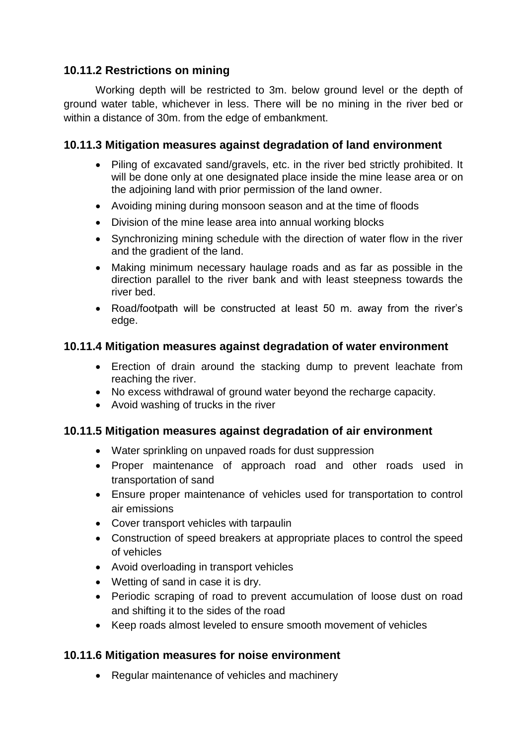## **10.11.2 Restrictions on mining**

Working depth will be restricted to 3m. below ground level or the depth of ground water table, whichever in less. There will be no mining in the river bed or within a distance of 30m. from the edge of embankment.

#### **10.11.3 Mitigation measures against degradation of land environment**

- Piling of excavated sand/gravels, etc. in the river bed strictly prohibited. It will be done only at one designated place inside the mine lease area or on the adjoining land with prior permission of the land owner.
- Avoiding mining during monsoon season and at the time of floods
- Division of the mine lease area into annual working blocks
- Synchronizing mining schedule with the direction of water flow in the river and the gradient of the land.
- Making minimum necessary haulage roads and as far as possible in the direction parallel to the river bank and with least steepness towards the river bed.
- Road/footpath will be constructed at least 50 m. away from the river's edge.

#### **10.11.4 Mitigation measures against degradation of water environment**

- Erection of drain around the stacking dump to prevent leachate from reaching the river.
- No excess withdrawal of ground water beyond the recharge capacity.
- Avoid washing of trucks in the river

#### **10.11.5 Mitigation measures against degradation of air environment**

- Water sprinkling on unpaved roads for dust suppression
- Proper maintenance of approach road and other roads used in transportation of sand
- Ensure proper maintenance of vehicles used for transportation to control air emissions
- Cover transport vehicles with tarpaulin
- Construction of speed breakers at appropriate places to control the speed of vehicles
- Avoid overloading in transport vehicles
- Wetting of sand in case it is dry.
- Periodic scraping of road to prevent accumulation of loose dust on road and shifting it to the sides of the road
- Keep roads almost leveled to ensure smooth movement of vehicles

#### **10.11.6 Mitigation measures for noise environment**

• Regular maintenance of vehicles and machinery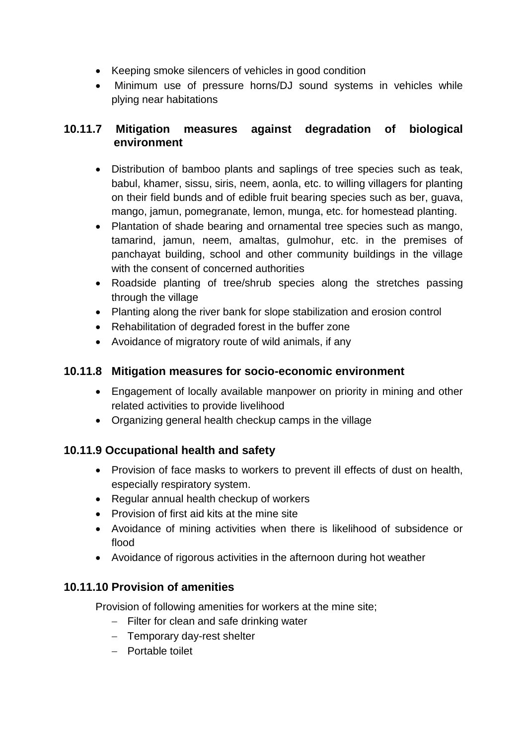- Keeping smoke silencers of vehicles in good condition
- Minimum use of pressure horns/DJ sound systems in vehicles while plying near habitations

## **10.11.7 Mitigation measures against degradation of biological environment**

- Distribution of bamboo plants and saplings of tree species such as teak, babul, khamer, sissu, siris, neem, aonla, etc. to willing villagers for planting on their field bunds and of edible fruit bearing species such as ber, guava, mango, jamun, pomegranate, lemon, munga, etc. for homestead planting.
- Plantation of shade bearing and ornamental tree species such as mango, tamarind, jamun, neem, amaltas, gulmohur, etc. in the premises of panchayat building, school and other community buildings in the village with the consent of concerned authorities
- Roadside planting of tree/shrub species along the stretches passing through the village
- Planting along the river bank for slope stabilization and erosion control
- Rehabilitation of degraded forest in the buffer zone
- Avoidance of migratory route of wild animals, if any

## **10.11.8 Mitigation measures for socio-economic environment**

- Engagement of locally available manpower on priority in mining and other related activities to provide livelihood
- Organizing general health checkup camps in the village

## **10.11.9 Occupational health and safety**

- Provision of face masks to workers to prevent ill effects of dust on health, especially respiratory system.
- Regular annual health checkup of workers
- Provision of first aid kits at the mine site
- Avoidance of mining activities when there is likelihood of subsidence or flood
- Avoidance of rigorous activities in the afternoon during hot weather

## **10.11.10 Provision of amenities**

Provision of following amenities for workers at the mine site;

- $-$  Filter for clean and safe drinking water
- Temporary day-rest shelter
- Portable toilet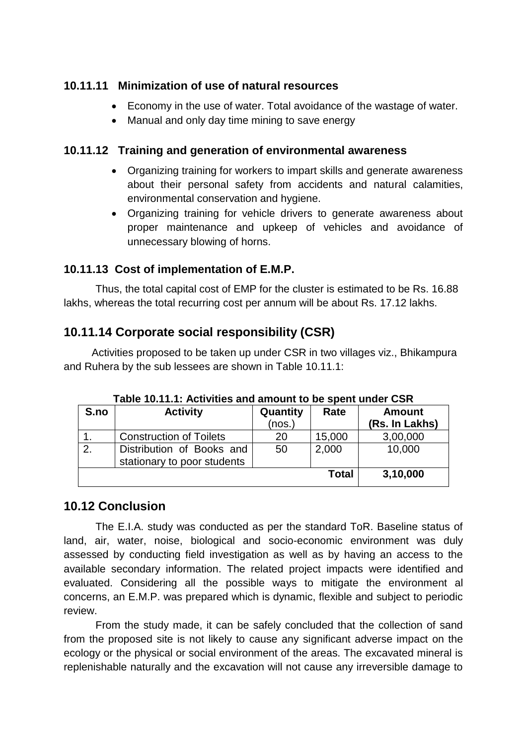## **10.11.11 Minimization of use of natural resources**

- Economy in the use of water. Total avoidance of the wastage of water.
- Manual and only day time mining to save energy

## **10.11.12 Training and generation of environmental awareness**

- Organizing training for workers to impart skills and generate awareness about their personal safety from accidents and natural calamities, environmental conservation and hygiene.
- Organizing training for vehicle drivers to generate awareness about proper maintenance and upkeep of vehicles and avoidance of unnecessary blowing of horns.

## **10.11.13 Cost of implementation of E.M.P.**

Thus, the total capital cost of EMP for the cluster is estimated to be Rs. 16.88 lakhs, whereas the total recurring cost per annum will be about Rs. 17.12 lakhs.

## **10.11.14 Corporate social responsibility (CSR)**

Activities proposed to be taken up under CSR in two villages viz., Bhikampura and Ruhera by the sub lessees are shown in Table 10.11.1:

| S.no | <b>Activity</b>                | Quantity | Rate   | <b>Amount</b>  |
|------|--------------------------------|----------|--------|----------------|
|      |                                | (nos.)   |        | (Rs. In Lakhs) |
|      | <b>Construction of Toilets</b> | 20       | 15,000 | 3,00,000       |
| 2.   | Distribution of Books and      | 50       | 2,000  | 10,000         |
|      | stationary to poor students    |          |        |                |
|      |                                |          | Total  | 3,10,000       |

**Table 10.11.1: Activities and amount to be spent under CSR**

#### **10.12 Conclusion**

The E.I.A. study was conducted as per the standard ToR. Baseline status of land, air, water, noise, biological and socio-economic environment was duly assessed by conducting field investigation as well as by having an access to the available secondary information. The related project impacts were identified and evaluated. Considering all the possible ways to mitigate the environment al concerns, an E.M.P. was prepared which is dynamic, flexible and subject to periodic review.

From the study made, it can be safely concluded that the collection of sand from the proposed site is not likely to cause any significant adverse impact on the ecology or the physical or social environment of the areas. The excavated mineral is replenishable naturally and the excavation will not cause any irreversible damage to